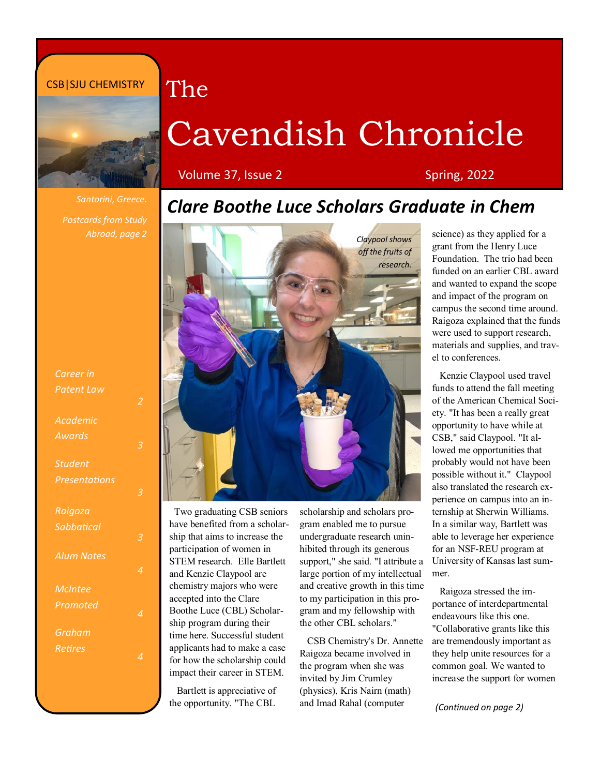#### CSB|SJU CHEMISTRY



# Cavendish Chronicle

Volume 37, Issue 2 Spring, 2022

The

*Postcards from Study Abroad, page 2* 

| Career in         |   |
|-------------------|---|
| Patent Law        |   |
| Academic          |   |
| Awards            |   |
| <b>Student</b>    |   |
| Presentations     | ŕ |
| Raigoza           |   |
| Sabbatical        | ś |
| <b>Alum Notes</b> | ۷ |
| McIntee           |   |
| Promoted          | Z |
| Graham            |   |
| Retires           |   |

### *Clare Boothe Luce Scholars Graduate in Chem*



 Two graduating CSB seniors have benefited from a scholarship that aims to increase the participation of women in STEM research. Elle Bartlett and Kenzie Claypool are chemistry majors who were accepted into the Clare Boothe Luce (CBL) Scholarship program during their time here. Successful student applicants had to make a case for how the scholarship could impact their career in STEM.

 Bartlett is appreciative of the opportunity. "The CBL

scholarship and scholars program enabled me to pursue undergraduate research uninhibited through its generous support," she said. "I attribute a large portion of my intellectual and creative growth in this time to my participation in this program and my fellowship with the other CBL scholars."

 CSB Chemistry's Dr. Annette Raigoza became involved in the program when she was invited by Jim Crumley (physics), Kris Nairn (math) and Imad Rahal (computer

science) as they applied for a grant from the Henry Luce Foundation. The trio had been funded on an earlier CBL award and wanted to expand the scope and impact of the program on campus the second time around. Raigoza explained that the funds were used to support research, materials and supplies, and travel to conferences.

 Kenzie Claypool used travel funds to attend the fall meeting of the American Chemical Society. "It has been a really great opportunity to have while at CSB," said Claypool. "It allowed me opportunities that probably would not have been possible without it." Claypool also translated the research experience on campus into an internship at Sherwin Williams. In a similar way, Bartlett was able to leverage her experience for an NSF-REU program at University of Kansas last summer.

 Raigoza stressed the importance of interdepartmental endeavours like this one. "Collaborative grants like this are tremendously important as they help unite resources for a common goal. We wanted to increase the support for women

*(Continued on page 2)*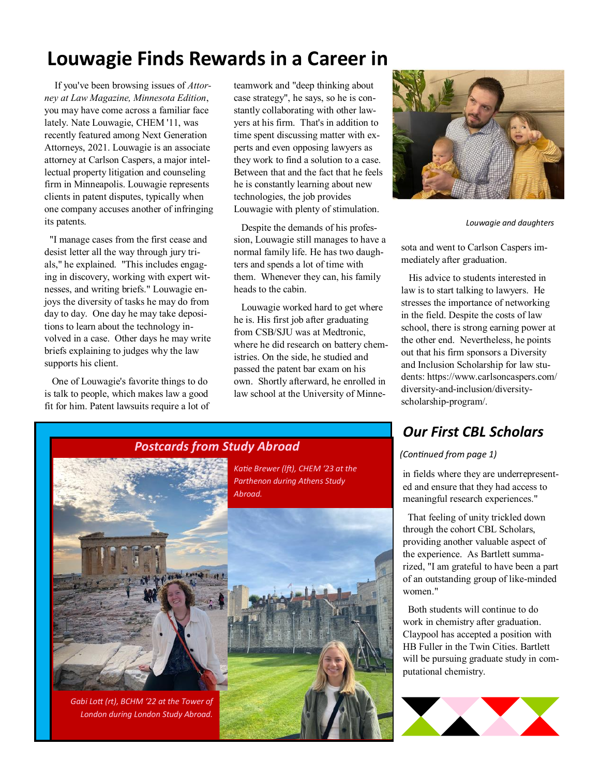## **Louwagie Finds Rewards in a Career in**

If you've been browsing issues of *Attorney at Law Magazine, Minnesota Edition*, you may have come across a familiar face lately. Nate Louwagie, CHEM '11, was recently featured among Next Generation Attorneys, 2021. Louwagie is an associate attorney at Carlson Caspers, a major intellectual property litigation and counseling firm in Minneapolis. Louwagie represents clients in patent disputes, typically when one company accuses another of infringing its patents.

 "I manage cases from the first cease and desist letter all the way through jury trials," he explained. "This includes engaging in discovery, working with expert witnesses, and writing briefs." Louwagie enjoys the diversity of tasks he may do from day to day. One day he may take depositions to learn about the technology involved in a case. Other days he may write briefs explaining to judges why the law supports his client.

 One of Louwagie's favorite things to do is talk to people, which makes law a good fit for him. Patent lawsuits require a lot of

teamwork and "deep thinking about case strategy", he says, so he is constantly collaborating with other lawyers at his firm. That's in addition to time spent discussing matter with experts and even opposing lawyers as they work to find a solution to a case. Between that and the fact that he feels he is constantly learning about new technologies, the job provides Louwagie with plenty of stimulation.

 Despite the demands of his profession, Louwagie still manages to have a normal family life. He has two daughters and spends a lot of time with them. Whenever they can, his family heads to the cabin.

 Louwagie worked hard to get where he is. His first job after graduating from CSB/SJU was at Medtronic, where he did research on battery chemistries. On the side, he studied and passed the patent bar exam on his own. Shortly afterward, he enrolled in law school at the University of Minne-



*Louwagie and daughters*

sota and went to Carlson Caspers immediately after graduation.

 His advice to students interested in law is to start talking to lawyers. He stresses the importance of networking in the field. Despite the costs of law school, there is strong earning power at the other end. Nevertheless, he points out that his firm sponsors a Diversity and Inclusion Scholarship for law students: https://www.carlsoncaspers.com/ diversity-and-inclusion/diversityscholarship-program/.

#### *Our First CBL Scholars*

#### *(Continued from page 1)*

in fields where they are underrepresented and ensure that they had access to meaningful research experiences."

 That feeling of unity trickled down through the cohort CBL Scholars, providing another valuable aspect of the experience. As Bartlett summarized, "I am grateful to have been a part of an outstanding group of like-minded women."

 Both students will continue to do work in chemistry after graduation. Claypool has accepted a position with HB Fuller in the Twin Cities. Bartlett will be pursuing graduate study in computational chemistry.



## *Postcards from Study Abroad*

*Katie Brewer (lft), CHEM '23 at the Parthenon during Athens Study* 

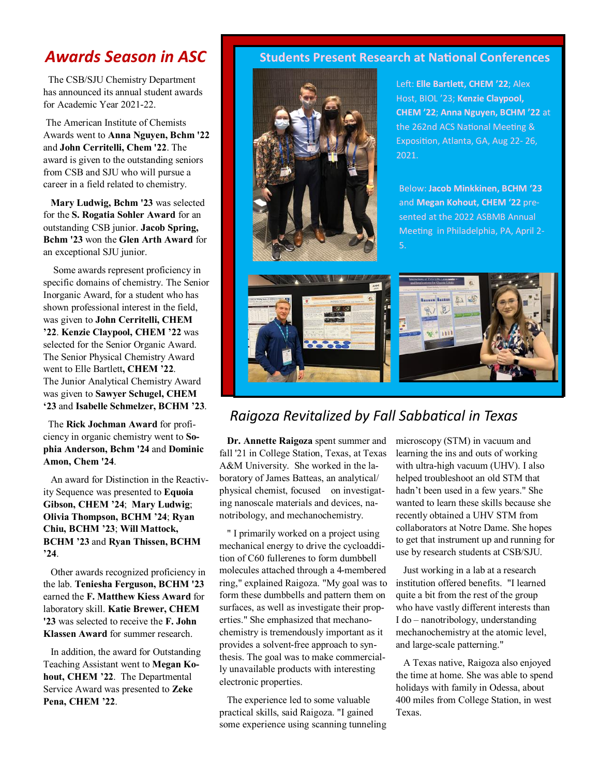#### *Awards Season in ASC*

 The CSB/SJU Chemistry Department has announced its annual student awards for Academic Year 2021-22.

The American Institute of Chemists Awards went to **Anna Nguyen, Bchm '22**  and **John Cerritelli, Chem '22**. The award is given to the outstanding seniors from CSB and SJU who will pursue a career in a field related to chemistry.

 **Mary Ludwig, Bchm '23** was selected for the **S. Rogatia Sohler Award** for an outstanding CSB junior. **Jacob Spring, Bchm '23** won the **Glen Arth Award** for an exceptional SJU junior.

 Some awards represent proficiency in specific domains of chemistry. The Senior Inorganic Award, for a student who has shown professional interest in the field, was given to **John Cerritelli, CHEM '22**. **Kenzie Claypool, CHEM '22** was selected for the Senior Organic Award. The Senior Physical Chemistry Award went to Elle Bartlett**, CHEM '22**. The Junior Analytical Chemistry Award was given to **Sawyer Schugel, CHEM '23** and **Isabelle Schmelzer, BCHM '23**.

 The **Rick Jochman Award** for proficiency in organic chemistry went to **Sophia Anderson, Bchm '24** and **Dominic Amon, Chem '24**.

 An award for Distinction in the Reactivity Sequence was presented to **Equoia Gibson, CHEM '24**; **Mary Ludwig**; **Olivia Thompson, BCHM '24**; **Ryan Chiu, BCHM '23**; **Will Mattock, BCHM '23** and **Ryan Thissen, BCHM '24**.

 Other awards recognized proficiency in the lab. **Teniesha Ferguson, BCHM '23**  earned the **F. Matthew Kiess Award** for laboratory skill. **Katie Brewer, CHEM '23** was selected to receive the **F. John Klassen Award** for summer research.

 In addition, the award for Outstanding Teaching Assistant went to **Megan Kohout, CHEM '22**. The Departmental Service Award was presented to **Zeke Pena, CHEM '22**.

#### **Students Present Research at National Conferences**



Left: **Elle Bartlett, CHEM '22**; Alex Host, BIOL '23; **Kenzie Claypool, CHEM '22**; **Anna Nguyen, BCHM '22** at the 262nd ACS National Meeting & Exposition, Atlanta, GA, Aug 22- 26, 2021.

Below: **Jacob Minkkinen, BCHM '23**  and **Megan Kohout, CHEM '22** presented at the 2022 ASBMB Annual Meeting in Philadelphia, PA, April 2- 5.



#### *Raigoza Revitalized by Fall Sabbatical in Texas*

 **Dr. Annette Raigoza** spent summer and fall '21 in College Station, Texas, at Texas A&M University. She worked in the laboratory of James Batteas, an analytical/ physical chemist, focused on investigating nanoscale materials and devices, nanotribology, and mechanochemistry.

 " I primarily worked on a project using mechanical energy to drive the cycloaddition of C60 fullerenes to form dumbbell molecules attached through a 4-membered ring," explained Raigoza. "My goal was to form these dumbbells and pattern them on surfaces, as well as investigate their properties." She emphasized that mechanochemistry is tremendously important as it provides a solvent-free approach to synthesis. The goal was to make commercially unavailable products with interesting electronic properties.

 The experience led to some valuable practical skills, said Raigoza. "I gained some experience using scanning tunneling microscopy (STM) in vacuum and learning the ins and outs of working with ultra-high vacuum (UHV). I also helped troubleshoot an old STM that hadn't been used in a few years." She wanted to learn these skills because she recently obtained a UHV STM from collaborators at Notre Dame. She hopes to get that instrument up and running for use by research students at CSB/SJU.

 Just working in a lab at a research institution offered benefits. "I learned quite a bit from the rest of the group who have vastly different interests than I do – nanotribology, understanding mechanochemistry at the atomic level, and large-scale patterning."

 A Texas native, Raigoza also enjoyed the time at home. She was able to spend holidays with family in Odessa, about 400 miles from College Station, in west Texas.